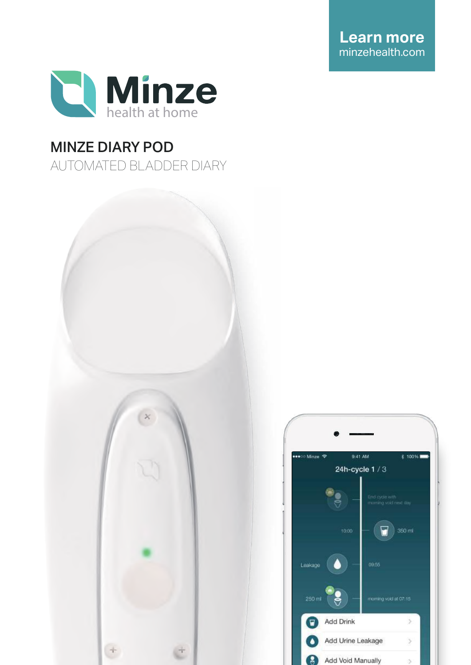**Learn more** minzehealth.com



# MINZE DIARY POD

AUTOMATED BLADDER DIARY



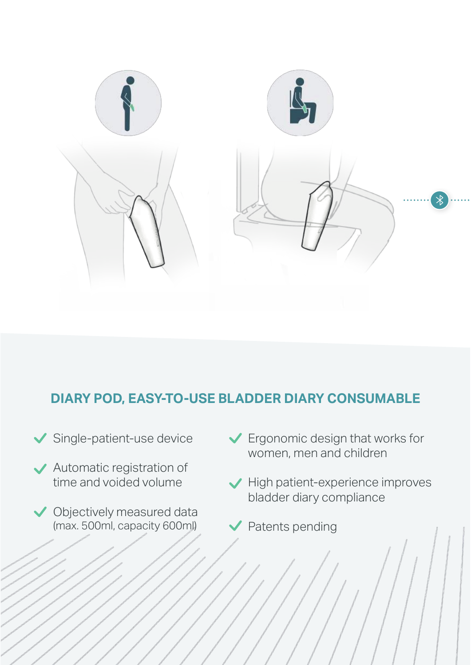

## **DIARY POD, EASY-TO-USE BLADDER DIARY CONSUMABLE**

- Single-patient-use device
- Automatic registration of time and voided volume
- ◆ Objectively measured data (max. 500ml, capacity 600ml)
- Ergonomic design that works for women, men and children
- $\blacktriangleright$  High patient-experience improves bladder diary compliance
- Patents pending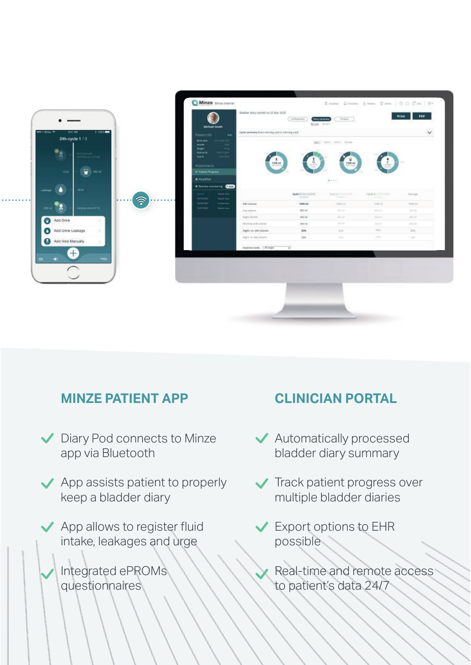

### **MINZE PATIENT APP CLINICIAN PORTAL**

- Diary Pod connects to Minze app via Bluetooth
- App assists patient to properly keep a bladder diary
	- App allows to register fluid intake, leakages and urge
	- Integrated ePROMs questionnaires

- Automatically processed bladder diary summary
- **Track patient progress over** multiple bladder diaries
- Export options to EHR possible
	- Real-time and remote access to patient's data 24/7